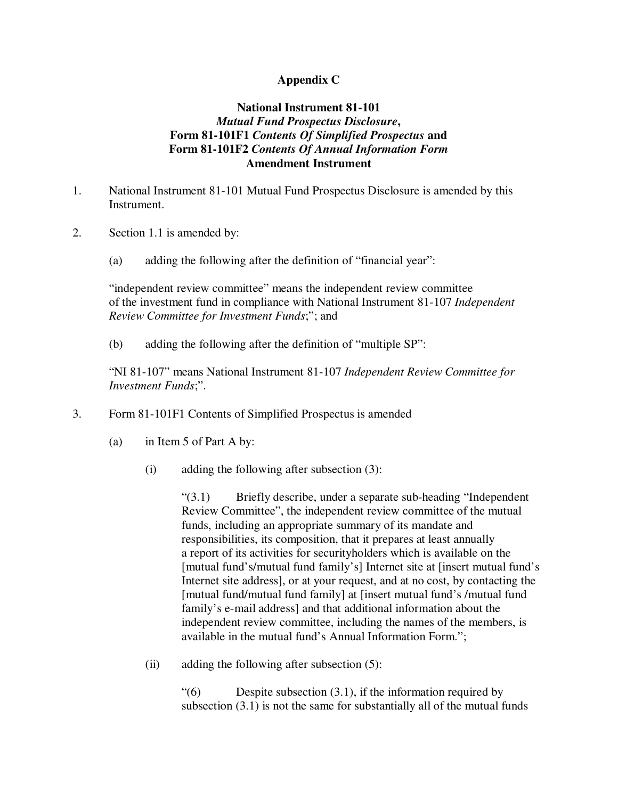## **Appendix C**

## **National Instrument 81-101** *Mutual Fund Prospectus Disclosure***, Form 81-101F1** *Contents Of Simplified Prospectus* **and Form 81-101F2** *Contents Of Annual Information Form* **Amendment Instrument**

- 1. National Instrument 81-101 Mutual Fund Prospectus Disclosure is amended by this Instrument.
- 2. Section 1.1 is amended by:
	- (a) adding the following after the definition of "financial year":

"independent review committee" means the independent review committee of the investment fund in compliance with National Instrument 81-107 *Independent Review Committee for Investment Funds*;"; and

(b) adding the following after the definition of "multiple SP":

"NI 81-107" means National Instrument 81-107 *Independent Review Committee for Investment Funds*;".

- 3. Form 81-101F1 Contents of Simplified Prospectus is amended
	- (a) in Item 5 of Part A by:
		- (i) adding the following after subsection (3):

"(3.1) Briefly describe, under a separate sub-heading "Independent Review Committee", the independent review committee of the mutual funds, including an appropriate summary of its mandate and responsibilities, its composition, that it prepares at least annually a report of its activities for securityholders which is available on the [mutual fund's/mutual fund family's] Internet site at [insert mutual fund's Internet site address], or at your request, and at no cost, by contacting the [mutual fund/mutual fund family] at [insert mutual fund's /mutual fund family's e-mail address] and that additional information about the independent review committee, including the names of the members, is available in the mutual fund's Annual Information Form.";

(ii) adding the following after subsection (5):

"(6) Despite subsection (3.1), if the information required by subsection (3.1) is not the same for substantially all of the mutual funds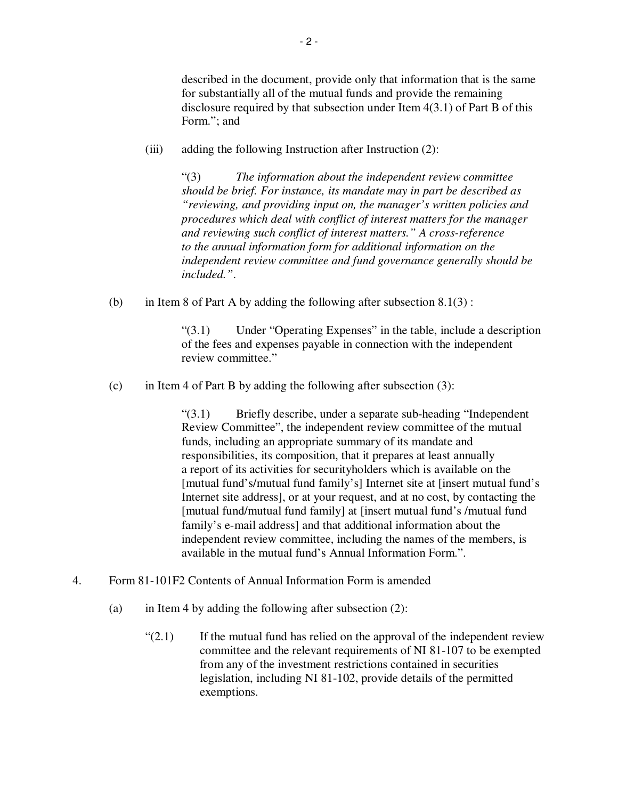described in the document, provide only that information that is the same for substantially all of the mutual funds and provide the remaining disclosure required by that subsection under Item 4(3.1) of Part B of this Form."; and

(iii) adding the following Instruction after Instruction (2):

"(3) *The information about the independent review committee should be brief. For instance, its mandate may in part be described as "reviewing, and providing input on, the manager's written policies and procedures which deal with conflict of interest matters for the manager and reviewing such conflict of interest matters." A cross-reference to the annual information form for additional information on the independent review committee and fund governance generally should be included."*.

(b) in Item 8 of Part A by adding the following after subsection  $8.1(3)$ :

"(3.1) Under "Operating Expenses" in the table, include a description of the fees and expenses payable in connection with the independent review committee."

(c) in Item 4 of Part B by adding the following after subsection (3):

"(3.1) Briefly describe, under a separate sub-heading "Independent Review Committee", the independent review committee of the mutual funds, including an appropriate summary of its mandate and responsibilities, its composition, that it prepares at least annually a report of its activities for securityholders which is available on the [mutual fund's/mutual fund family's] Internet site at [insert mutual fund's Internet site address], or at your request, and at no cost, by contacting the [mutual fund/mutual fund family] at [insert mutual fund's /mutual fund family's e-mail address] and that additional information about the independent review committee, including the names of the members, is available in the mutual fund's Annual Information Form.".

- 4. Form 81-101F2 Contents of Annual Information Form is amended
	- (a) in Item 4 by adding the following after subsection  $(2)$ :
		- $\mathcal{L}(2.1)$  If the mutual fund has relied on the approval of the independent review committee and the relevant requirements of NI 81-107 to be exempted from any of the investment restrictions contained in securities legislation, including NI 81-102, provide details of the permitted exemptions.